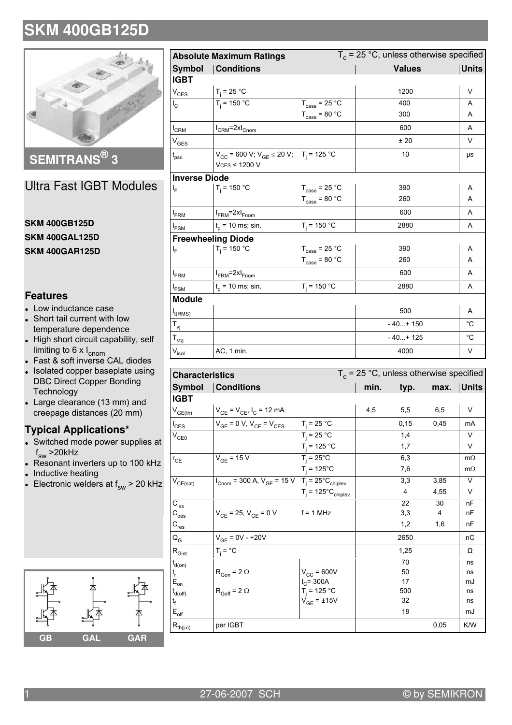

SEMITRANS<sup>®</sup> 3

**Ultra Fast IGBT Modules** 

#### **SKM 400GB125D SKM 400GAL125D SKM 400GAR125D**

#### **Features**

- Low inductance case
- Short tail current with low temperature dependence
- High short circuit capability, self limiting to 6 x  $I_{\text{cnom}}$ <br>• Fast & soft inverse CAL diodes
- 
- Isolated copper baseplate using  $\bullet$ **DBC Direct Copper Bonding** Technology
- Large clearance (13 mm) and creepage distances (20 mm)

## **Typical Applications\***

- Switched mode power supplies at  $\overline{\phantom{a}}$  $f_{sw}$  >20kHz
- Resonant inverters up to 100 kHz
- Inductive heating
- Electronic welders at  $f_{sw}$  > 20 kHz



|                           | <b>Absolute Maximum Ratings</b>                                                 |                                   | $T_c$ = 25 °C, unless otherwise specified |              |  |
|---------------------------|---------------------------------------------------------------------------------|-----------------------------------|-------------------------------------------|--------------|--|
| <b>Symbol</b>             | <b>Conditions</b>                                                               |                                   | <b>Values</b>                             | <b>Units</b> |  |
| IGBT                      |                                                                                 |                                   |                                           |              |  |
| $V_{CES}$                 | $T_j = 25 °C$                                                                   |                                   | 1200                                      | $\vee$       |  |
| $\mathsf{I}_\mathsf{C}$   | $T_i = 150 °C$                                                                  | $T_{\text{case}} = 25 \degree C$  | 400                                       | A            |  |
|                           |                                                                                 | $T_{\text{case}}$ = 80 °C         | 300                                       | A            |  |
| $I_{CRM}$                 | $I_{CRM}$ =2x $I_{Cnom}$                                                        |                                   | 600                                       | A            |  |
| $V_{GES}$                 |                                                                                 |                                   | ±20                                       | $\vee$       |  |
| t <sub>psc</sub>          | $V_{CC}$ = 600 V; $V_{GE}$ $\leq$ 20 V; T <sub>i</sub> = 125 °C<br>VCS < 1200 V |                                   | 10                                        | μs           |  |
| <b>Inverse Diode</b>      |                                                                                 |                                   |                                           |              |  |
| ΙF                        | $T_i = 150 °C$                                                                  | $T_{\text{case}} = 25 \text{ °C}$ | 390                                       | A            |  |
|                           |                                                                                 | $T_{\text{case}}$ = 80 °C         | 260                                       | A            |  |
| <b>I</b> <sub>FRM</sub>   | $I_{FRM}$ =2x $I_{Fnom}$                                                        |                                   | 600                                       | A            |  |
| $I_{FSM}$                 | $t_{p}$ = 10 ms; sin.                                                           | $T_i = 150 °C$                    | 2880                                      | A            |  |
|                           | <b>Freewheeling Diode</b>                                                       |                                   |                                           |              |  |
| ΙF                        | $T_i = 150 °C$                                                                  | $T_{\text{case}}$ = 25 °C         | 390                                       | Α            |  |
|                           |                                                                                 | $T_{\text{case}} = 80 \text{ °C}$ | 260                                       | A            |  |
| I <sub>FRM</sub>          | $I_{\text{FRM}}$ =2x $I_{\text{Fnom}}$                                          |                                   | 600                                       | A            |  |
| $I_{FSM}$                 | $t_{p}$ = 10 ms; sin.                                                           | $T_i = 150 °C$                    | 2880                                      | A            |  |
| <b>Module</b>             |                                                                                 |                                   |                                           |              |  |
| $I_{t(RMS)}$              |                                                                                 |                                   | 500                                       | Α            |  |
| $T_{\mathsf{vj}}$         |                                                                                 |                                   | $-40+150$                                 | $^{\circ}C$  |  |
| $\mathsf{T}_{\text{stg}}$ |                                                                                 |                                   | $-40+125$                                 | $^{\circ}C$  |  |
| $\rm V_{\rm isol}$        | AC, 1 min.                                                                      |                                   | 4000                                      | V            |  |

| <b>Characteristics</b>                                                               |                                                                                                                         |                                        | $T_c$ = 25 °C, unless otherwise specified |                |      |              |
|--------------------------------------------------------------------------------------|-------------------------------------------------------------------------------------------------------------------------|----------------------------------------|-------------------------------------------|----------------|------|--------------|
| Symbol                                                                               | <b>Conditions</b>                                                                                                       |                                        | min.                                      | typ.           | max. | <b>Units</b> |
| <b>IGBT</b>                                                                          |                                                                                                                         |                                        |                                           |                |      |              |
| $V_{GE(th)}$                                                                         | $V_{GE} = V_{CE}$ , $I_C = 12$ mA                                                                                       |                                        | 4,5                                       | 5,5            | 6,5  | V            |
| $I_{\text{CES}}$                                                                     | $V_{GE}$ = 0 V, $V_{CE}$ = $V_{CES}$                                                                                    | $T_j = 25 °C$                          |                                           | 0, 15          | 0,45 | mA           |
| $V_{CE0}$                                                                            |                                                                                                                         | $T_i = 25 °C$                          |                                           | 1,4            |      | V            |
|                                                                                      |                                                                                                                         | $T_i = 125 °C$                         |                                           | 1,7            |      | V            |
| $r_{CE}$                                                                             | $V_{GE}$ = 15 V                                                                                                         | $T_i = 25^{\circ}C$                    |                                           | 6,3            |      | $m\Omega$    |
|                                                                                      |                                                                                                                         | $T_i = 125^{\circ}C$                   |                                           | 7,6            |      | $m\Omega$    |
| $\mathsf{V}_{\mathsf{CE}(\mathsf{sat})}$                                             | $I_{\text{Cnom}} = 300 \text{ A}, V_{\text{GE}} = 15 \text{ V}$ T <sub>i</sub> = 25 <sup>°</sup> C <sub>chiplev</sub> . |                                        |                                           | 3,3            | 3,85 | V            |
|                                                                                      |                                                                                                                         | $T_i = 125^{\circ}C_{\text{chiplev.}}$ |                                           | $\overline{4}$ | 4,55 | V            |
| $\overline{\text{C}}_{\text{ies}}$                                                   |                                                                                                                         |                                        |                                           | 22             | 30   | nF           |
| $C_{\rm {oes}}$                                                                      | $V_{CE}$ = 25, $V_{GE}$ = 0 V                                                                                           | $f = 1$ MHz                            |                                           | 3,3            | 4    | nF           |
| $C_{res}$                                                                            |                                                                                                                         |                                        |                                           | 1,2            | 1,6  | nF           |
| $\mathsf{Q}_{\mathsf{G}}$                                                            | $V_{GE} = 0V - +20V$                                                                                                    |                                        |                                           | 2650           |      | nC           |
| $R_{\text{Gint}}$                                                                    | $T_i = \text{°C}$                                                                                                       |                                        |                                           | 1,25           |      | Ω            |
| $t_{d(on)}$                                                                          |                                                                                                                         |                                        |                                           | 70             |      | ns           |
| $\begin{array}{c} \mathfrak{t}_{\mathsf{r}} \\ \mathsf{E}_{\mathsf{on}} \end{array}$ | $R_{\text{Gon}} = 2 \Omega$                                                                                             | $V_{CC}$ = 600V                        |                                           | 50             |      | ns           |
|                                                                                      |                                                                                                                         | $I_C = 300A$                           |                                           | 17             |      | mJ           |
| $t_{d(\text{off})}$                                                                  | $R_{Goff} = 2 \Omega$                                                                                                   | $T_i = 125 °C$                         |                                           | 500            |      | ns           |
| ţ                                                                                    |                                                                                                                         | $V_{GE}$ = $\pm$ 15V                   |                                           | 32             |      | ns           |
| $\mathsf{E}_{\mathsf{off}}$                                                          |                                                                                                                         |                                        |                                           | 18             |      | mJ           |
| $\mathsf{R}_{\mathsf{th}(j\text{-}c)}$                                               | per IGBT                                                                                                                |                                        |                                           |                | 0,05 | K/W          |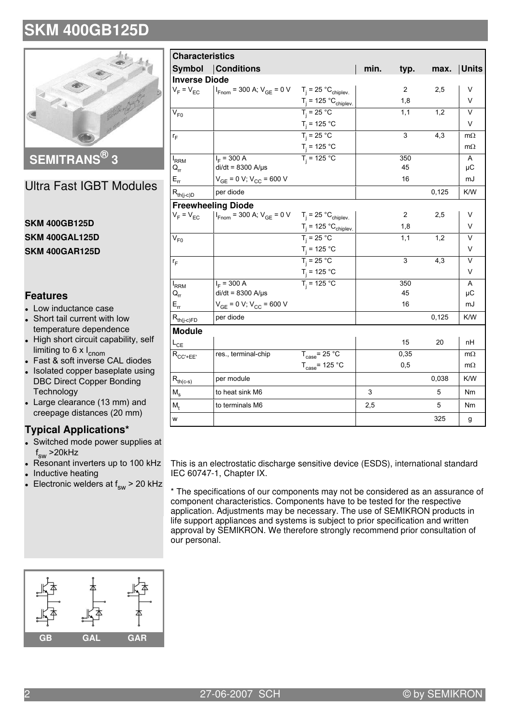

SEMITRANS<sup>®</sup> 3

## **Ultra Fast IGBT Modules**

**SKM 400GB125D SKM 400GAL125D SKM 400GAR125D** 

#### **Features**

- Low inductance case
- Short tail current with low temperature dependence
- High short circuit capability, self limiting to  $6 \times I_{\text{cnom}}$
- Fast & soft inverse CAL diodes
- Isolated copper baseplate using **DBC Direct Copper Bonding** Technology
- Large clearance (13 mm) and creepage distances (20 mm)

## **Typical Applications\***

- Switched mode power supplies at  $f_{sw}$  >20kHz
- Resonant inverters up to 100 kHz
- Inductive heating
- Electronic welders at  $f_{sw}$  > 20 kHz

| <b>Characteristics</b>                                    |                                                                                              |                                            |      |      |       |                |
|-----------------------------------------------------------|----------------------------------------------------------------------------------------------|--------------------------------------------|------|------|-------|----------------|
|                                                           | <b>Symbol Conditions</b>                                                                     |                                            | min. | typ. | max.  | <b>Units</b>   |
| <b>Inverse Diode</b>                                      |                                                                                              |                                            |      |      |       |                |
|                                                           | $V_F = V_{EC}$   $I_{Fnom} = 300$ A; $V_{GE} = 0$ V $T_j = 25$ °C <sub>chiplev</sub> .       |                                            |      | 2    | 2,5   | V              |
|                                                           |                                                                                              |                                            |      | 1,8  |       | $\vee$         |
| $V_{F0}$                                                  |                                                                                              | $T_j = 125 °C_{chiplev.}$<br>$T_j = 25 °C$ |      | 1,1  | 1,2   | $\vee$         |
|                                                           |                                                                                              | $T_j = 125 °C$<br>$T_j = 25 °C$            |      |      |       | V              |
| $r_F$                                                     |                                                                                              |                                            |      | 3    | 4,3   | $m\Omega$      |
|                                                           |                                                                                              | $T_j = 125 °C$                             |      |      |       | $m\Omega$      |
| $I_{RRM}$                                                 | $I_F = 300 A$                                                                                | $T_i = 125 °C$                             |      | 350  |       | A              |
| $Q_{rr}$                                                  | $di/dt = 8300$ A/ $\mu$ s                                                                    |                                            |      | 45   |       | μC             |
| $E_{rr}$                                                  | $V_{GE}$ = 0 V; $V_{CC}$ = 600 V                                                             |                                            |      | 16   |       | mJ             |
| $\mathsf{R}_{\mathsf{th}(j\text{-}\mathsf{c})\mathsf{D}}$ | per diode                                                                                    |                                            |      |      | 0,125 | K/W            |
|                                                           | <b>Freewheeling Diode</b>                                                                    |                                            |      |      |       |                |
| $V_F = V_{EC}$                                            | $I_{\text{Fnom}}$ = 300 A; $V_{\text{GE}}$ = 0 V T <sub>j</sub> = 25 °C <sub>chiplev</sub> . |                                            |      | 2    | 2,5   | V              |
|                                                           |                                                                                              | $T_j = 125 °C_{chiplev.}$<br>$T_j = 25 °C$ |      | 1,8  |       | V              |
| $\rm V_{F0}$                                              |                                                                                              |                                            |      | 1,1  | 1,2   | $\vee$         |
|                                                           |                                                                                              | $T_j = 125 °C$<br>$T_i = 25 °C$            |      |      |       | V              |
| $r_F$                                                     |                                                                                              |                                            |      | 3    | 4,3   | $\vee$         |
|                                                           |                                                                                              | $T_j = 125 °C$                             |      |      |       | V              |
| $I_{RRM}$                                                 | $I_F = 300 A$                                                                                | $T_i = 125 °C$                             |      | 350  |       | A              |
| $\mathsf{Q}_{\mathsf{r}\mathsf{r}}$                       | $di/dt = 8300$ A/ $\mu$ s                                                                    |                                            |      | 45   |       | μC             |
| $E_{rr}$                                                  | $V_{GE}$ = 0 V; $V_{CC}$ = 600 V                                                             |                                            |      | 16   |       | mJ             |
| $R_{th(j-c)FD}$                                           | per diode                                                                                    |                                            |      |      | 0,125 | K/W            |
| <b>Module</b>                                             |                                                                                              |                                            |      |      |       |                |
| $L_{CE}$                                                  |                                                                                              |                                            |      | 15   | 20    | nН             |
| $R_{CC' + EE'}$                                           | res., terminal-chip                                                                          | $T_{\text{case}} = 25 \text{ °C}$          |      | 0,35 |       | $m\Omega$      |
|                                                           |                                                                                              | $T_{\text{case}}$ = 125 °C                 |      | 0,5  |       | $m\Omega$      |
| $R_{th(c-s)}$                                             | per module                                                                                   |                                            |      |      | 0,038 | K/W            |
| $M_s$                                                     | to heat sink M6                                                                              |                                            | 3    |      | 5     | N <sub>m</sub> |
| $M_t$                                                     | to terminals M6                                                                              |                                            | 2,5  |      | 5     | Nm             |
| w                                                         |                                                                                              |                                            |      |      | 325   | g              |

This is an electrostatic discharge sensitive device (ESDS), international standard IEC 60747-1, Chapter IX.

\* The specifications of our components may not be considered as an assurance of component characteristics. Components have to be tested for the respective application. Adjustments may be necessary. The use of SEMIKRON products in life support appliances and systems is subject to prior specification and written approval by SEMIKRON. We therefore strongly recommend prior consultation of our personal.

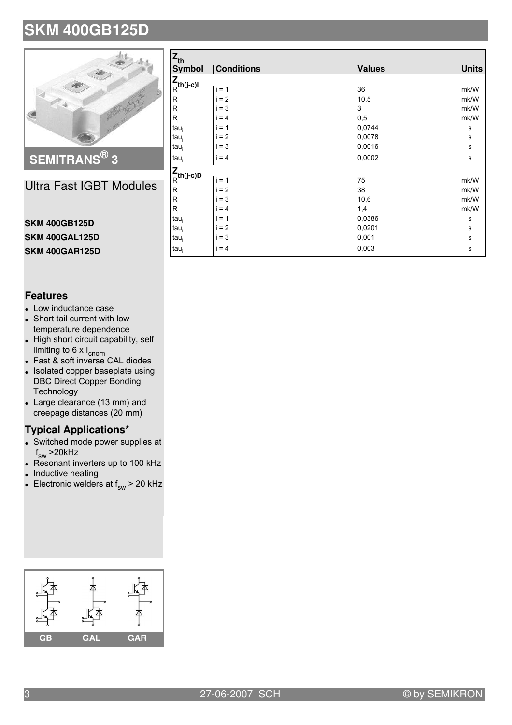

Ultra Fast IGBT Modules

#### **SKM 400GB125D SKM 400GAL125D SKM 400GAR125D**

#### **Features**

- Low inductance case
- Short tail current with low temperature dependence
- High short circuit capability, self limiting to 6 x l<sub>cnom</sub>
- Fast & soft inverse CAL diodes
- $\bullet$ Isolated copper baseplate using DBC Direct Copper Bonding Technology
- Large clearance (13 mm) and creepage distances (20 mm)

## **Typical Applications\***

- Switched mode power supplies at f<sub>sw</sub> >20kHz
- Resonant inverters up to 100 kHz
- $\bullet$ Inductive heating
- $\bullet~$  Electronic welders at  $\mathsf{f}_{_{\mathrm{SW}}}$  > 20 kHz



| $Z_{th}$<br><b>Symbol</b>                                                       | <b>Conditions</b> | <b>Values</b> | <b>Units</b> |
|---------------------------------------------------------------------------------|-------------------|---------------|--------------|
| $\mathsf{Z}_{\mathsf{th}(\mathsf{j}\text{-}\mathsf{c})\mathsf{l}}^{\mathsf{Z}}$ |                   |               |              |
|                                                                                 | $i = 1$           | 36            | mk/W         |
| $\mathsf{R}_{\mathsf{i}}$                                                       | $i = 2$           | 10,5          | mk/W         |
| $\mathsf{R}_{\mathsf{i}}$                                                       | $= 3$             | 3             | mk/W         |
| $R_i$                                                                           | $i = 4$           | 0,5           | mk/W         |
| tau <sub>i</sub>                                                                | $= 1$<br>Ť        | 0,0744        | $\mathbf s$  |
| $tau_i$                                                                         | $i = 2$           | 0,0078        | $\mathbf s$  |
| $tau_i$                                                                         | $= 3$<br>i        | 0,0016        | $\mathbf s$  |
| tau <sub>i</sub>                                                                | $i = 4$           | 0,0002        | ${\bf s}$    |
| $\frac{Z}{R_i^{\text{th}(j-c)D}}$                                               |                   |               |              |
|                                                                                 | $i = 1$           | 75            | mk/W         |
| $R_i$                                                                           | $= 2$             | 38            | mk/W         |
| $R_i$                                                                           | $= 3$             | 10,6          | mk/W         |
| $R_i$                                                                           | $= 4$<br>i        | 1,4           | mk/W         |
| $tau_i$                                                                         | $= 1$<br>т        | 0,0386        | s            |
| tau <sub>i</sub>                                                                | $= 2$<br>i        | 0,0201        | s            |
| $tau_i$                                                                         | $i = 3$           | 0,001         | ${\bf s}$    |
| $tau_i$                                                                         | $i = 4$           | 0,003         | $\mathbf s$  |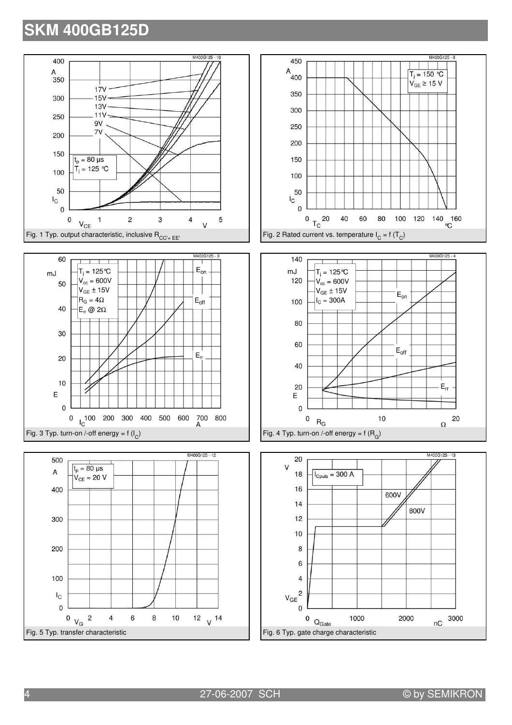









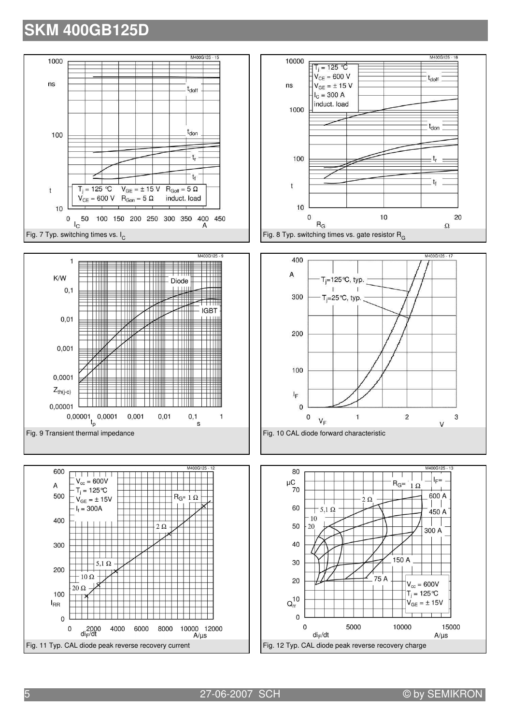

5 27-06-2007 SCH © by SEMIKRON